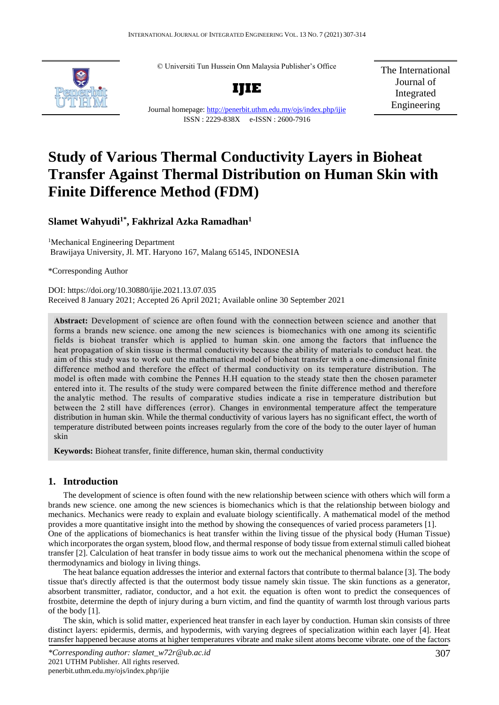© Universiti Tun Hussein Onn Malaysia Publisher's Office



**IJIE**

The International Journal of Integrated Engineering

Journal homepage:<http://penerbit.uthm.edu.my/ojs/index.php/ijie> ISSN : 2229-838X e-ISSN : 2600-7916

# **Study of Various Thermal Conductivity Layers in Bioheat Transfer Against Thermal Distribution on Human Skin with Finite Difference Method (FDM)**

# **Slamet Wahyudi1\* , Fakhrizal Azka Ramadhan<sup>1</sup>**

<sup>1</sup>Mechanical Engineering Department Brawijaya University, Jl. MT. Haryono 167, Malang 65145, INDONESIA

\*Corresponding Author

DOI: https://doi.org/10.30880/ijie.2021.13.07.035 Received 8 January 2021; Accepted 26 April 2021; Available online 30 September 2021

**Abstract:** Development of science are often found with the connection between science and another that forms a brands new science. one among the new sciences is biomechanics with one among its scientific fields is bioheat transfer which is applied to human skin. one among the factors that influence the heat propagation of skin tissue is thermal conductivity because the ability of materials to conduct heat. the aim of this study was to work out the mathematical model of bioheat transfer with a one-dimensional finite difference method and therefore the effect of thermal conductivity on its temperature distribution. The model is often made with combine the Pennes H.H equation to the steady state then the chosen parameter entered into it. The results of the study were compared between the finite difference method and therefore the analytic method. The results of comparative studies indicate a rise in temperature distribution but between the 2 still have differences (error). Changes in environmental temperature affect the temperature distribution in human skin. While the thermal conductivity of various layers has no significant effect, the worth of temperature distributed between points increases regularly from the core of the body to the outer layer of human skin

**Keywords:** Bioheat transfer, finite difference, human skin, thermal conductivity

## **1. Introduction**

The development of science is often found with the new relationship between science with others which will form a brands new science. one among the new sciences is biomechanics which is that the relationship between biology and mechanics. Mechanics were ready to explain and evaluate biology scientifically. A mathematical model of the method provides a more quantitative insight into the method by showing the consequences of varied process parameters [1]. One of the applications of biomechanics is heat transfer within the living tissue of the physical body (Human Tissue) which incorporates the organ system, blood flow, and thermal response of body tissue from external stimuli called bioheat transfer [2]. Calculation of heat transfer in body tissue aims to work out the mechanical phenomena within the scope of

thermodynamics and biology in living things.

The heat balance equation addresses the interior and external factors that contribute to thermal balance [3]. The body tissue that's directly affected is that the outermost body tissue namely skin tissue. The skin functions as a generator, absorbent transmitter, radiator, conductor, and a hot exit. the equation is often wont to predict the consequences of frostbite, determine the depth of injury during a burn victim, and find the quantity of warmth lost through various parts of the body [1].

The skin, which is solid matter, experienced heat transfer in each layer by conduction. Human skin consists of three distinct layers: epidermis, dermis, and hypodermis, with varying degrees of specialization within each layer [4]. Heat transfer happened because atoms at higher temperatures vibrate and make silent atoms become vibrate. one of the factors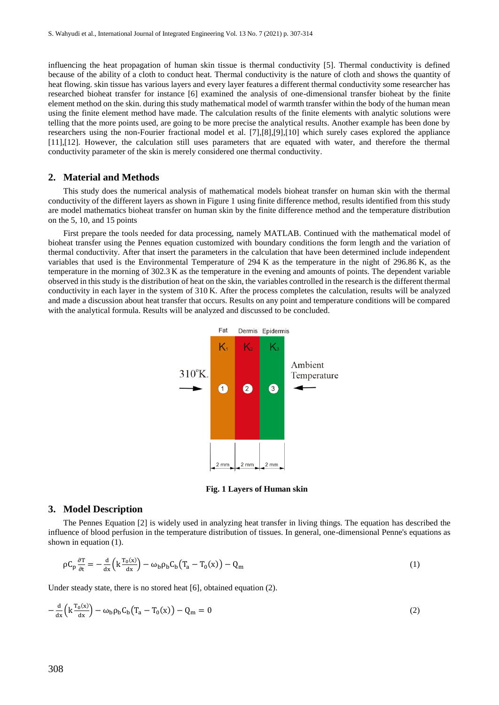influencing the heat propagation of human skin tissue is thermal conductivity [5]. Thermal conductivity is defined because of the ability of a cloth to conduct heat. Thermal conductivity is the nature of cloth and shows the quantity of heat flowing. skin tissue has various layers and every layer features a different thermal conductivity some researcher has researched bioheat transfer for instance [6] examined the analysis of one-dimensional transfer bioheat by the finite element method on the skin. during this study mathematical model of warmth transfer within the body of the human mean using the finite element method have made. The calculation results of the finite elements with analytic solutions were telling that the more points used, are going to be more precise the analytical results. Another example has been done by researchers using the non-Fourier fractional model et al. [7],[8],[9],[10] which surely cases explored the appliance [11],[12]. However, the calculation still uses parameters that are equated with water, and therefore the thermal conductivity parameter of the skin is merely considered one thermal conductivity.

#### **2. Material and Methods**

This study does the numerical analysis of mathematical models bioheat transfer on human skin with the thermal conductivity of the different layers as shown in Figure 1 using finite difference method, results identified from this study are model mathematics bioheat transfer on human skin by the finite difference method and the temperature distribution on the 5, 10, and 15 points

First prepare the tools needed for data processing, namely MATLAB. Continued with the mathematical model of bioheat transfer using the Pennes equation customized with boundary conditions the form length and the variation of thermal conductivity. After that insert the parameters in the calculation that have been determined include independent variables that used is the Environmental Temperature of 294 K as the temperature in the night of 296.86 K, as the temperature in the morning of 302.3 K as the temperature in the evening and amounts of points. The dependent variable observed in this study is the distribution of heat on the skin, the variables controlled in the research is the different thermal conductivity in each layer in the system of 310 K. After the process completes the calculation, results will be analyzed and made a discussion about heat transfer that occurs. Results on any point and temperature conditions will be compared with the analytical formula. Results will be analyzed and discussed to be concluded.



**Fig. 1 Layers of Human skin**

### **3. Model Description**

The Pennes Equation [2] is widely used in analyzing heat transfer in living things. The equation has described the influence of blood perfusion in the temperature distribution of tissues. In general, one-dimensional Penne's equations as shown in equation (1).

$$
\rho C_p \frac{\partial T}{\partial t} = -\frac{d}{dx} \left( k \frac{T_0(x)}{dx} \right) - \omega_b \rho_b C_b \left( T_a - T_0(x) \right) - Q_m \tag{1}
$$

Under steady state, there is no stored heat [6], obtained equation (2).

$$
-\frac{d}{dx}\left(k\frac{T_0(x)}{dx}\right) - \omega_b \rho_b C_b \left(T_a - T_0(x)\right) - Q_m = 0
$$
\n(2)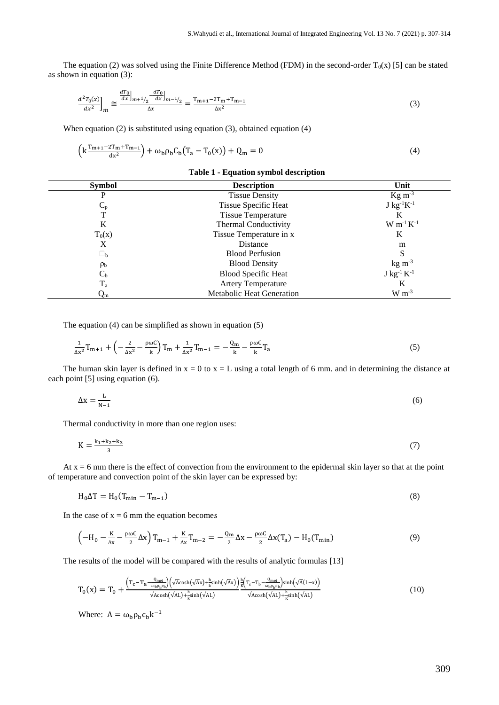The equation (2) was solved using the Finite Difference Method (FDM) in the second-order  $T_0(x)$  [5] can be stated as shown in equation (3):

$$
\frac{d^2T_0(x)}{dx^2}\bigg]_m \approx \frac{\frac{dT_0}{dx}\bigg|_{m+1/2} - \frac{dT_0}{dx}\bigg|_{m-1/2}}{\Delta x} = \frac{T_{m+1} - 2T_m + T_{m-1}}{\Delta x^2} \tag{3}
$$

When equation (2) is substituted using equation (3), obtained equation (4)

$$
\left(k\frac{T_{m+1}-2T_m+T_{m-1}}{dx^2}\right) + \omega_b \rho_b C_b (T_a - T_0(x)) + Q_m = 0
$$
\n(4)

# **Table 1 - Equation symbol description**

| <b>Symbol</b>           | <b>Description</b>               | Unit                                   |
|-------------------------|----------------------------------|----------------------------------------|
|                         | <b>Tissue Density</b>            | $\text{Kg m}^{-3}$                     |
| $C_{p}$                 | Tissue Specific Heat             | $J$ kg <sup>-1</sup> $K$ <sup>-1</sup> |
| T                       | <b>Tissue Temperature</b>        | K                                      |
| K                       | Thermal Conductivity             | $W m^{-1} K^{-1}$                      |
| $T_0(x)$                | Tissue Temperature in x          | K                                      |
| X                       | Distance                         | m                                      |
| $\square_{\mathbf{b}}$  | <b>Blood Perfusion</b>           | S                                      |
| $\rho_{\rm b}$          | <b>Blood Density</b>             | $kg \, \text{m}^{-3}$                  |
| $C_{b}$                 | <b>Blood Specific Heat</b>       | $J kg^{-1} K^{-1}$                     |
| $T_a$                   | <b>Artery Temperature</b>        | K                                      |
| $\mathsf{Q}_\mathrm{m}$ | <b>Metabolic Heat Generation</b> | $W m-3$                                |

The equation (4) can be simplified as shown in equation (5)

$$
\frac{1}{\Delta x^2}T_{m+1} + \left(-\frac{2}{\Delta x^2} - \frac{\rho \omega C}{k}\right)T_m + \frac{1}{\Delta x^2}T_{m-1} = -\frac{Q_m}{k} - \frac{\rho \omega C}{k}T_a
$$
\n(5)

The human skin layer is defined in  $x = 0$  to  $x = L$  using a total length of 6 mm. and in determining the distance at each point [5] using equation (6).

$$
\Delta x = \frac{L}{N-1} \tag{6}
$$

Thermal conductivity in more than one region uses:

$$
K = \frac{k_1 + k_2 + k_3}{3} \tag{7}
$$

At  $x = 6$  mm there is the effect of convection from the environment to the epidermal skin layer so that at the point of temperature and convection point of the skin layer can be expressed by:

$$
H_0 \Delta T = H_0 (T_{\min} - T_{m-1})
$$
\n<sup>(8)</sup>

In the case of  $x = 6$  mm the equation become*s* 

$$
\left(-H_0 - \frac{K}{\Delta x} - \frac{\rho \omega C}{2} \Delta x\right) T_{m-1} + \frac{K}{\Delta x} T_{m-2} = -\frac{Q_m}{2} \Delta x - \frac{\rho \omega C}{2} \Delta x (T_a) - H_0(T_{\min})\tag{9}
$$

The results of the model will be compared with the results of analytic formulas [13]

$$
T_0(x) = T_0 + \frac{\left(T_c - T_a - \frac{Q_{\text{met}}}{\omega_b \rho_b c_b}\right)\left(\sqrt{A} \cosh\left(\sqrt{A}x\right) + \frac{h}{K} \sinh\left(\sqrt{A}x\right)}{\sqrt{A} \cosh\left(\sqrt{A}L\right) + \frac{h}{K} \sinh\left(\sqrt{A}L\right)}\frac{h}{\sqrt{A} \cosh\left(\sqrt{A}L\right) + \frac{h}{K} \sinh\left(\sqrt{A}L\right)}}{\sqrt{A} \cosh\left(\sqrt{A}L\right) + \frac{h}{K} \sinh\left(\sqrt{A}L\right)}\tag{10}
$$

Where:  $A = \omega_b \rho_b c_b k^{-1}$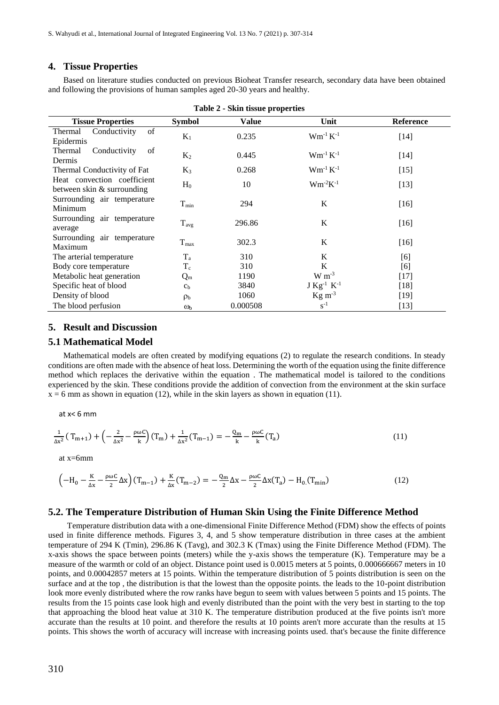# **4. Tissue Properties**

Based on literature studies conducted on previous Bioheat Transfer research, secondary data have been obtained and following the provisions of human samples aged 20-30 years and healthy.

| Table 2 - Skin tissue properties                          |                |              |                                      |           |  |  |
|-----------------------------------------------------------|----------------|--------------|--------------------------------------|-----------|--|--|
| <b>Tissue Properties</b>                                  | <b>Symbol</b>  | <b>Value</b> | Unit                                 | Reference |  |  |
| Conductivity<br>of<br>Thermal<br>Epidermis                | $K_1$          | 0.235        | $Wm^{-1} K^{-1}$                     | $[14]$    |  |  |
| Thermal<br>Conductivity<br>of<br>Dermis                   | $K_2$          | 0.445        | $Wm^{-1} K^{-1}$                     | $[14]$    |  |  |
| Thermal Conductivity of Fat                               | $K_3$          | 0.268        | $Wm^{-1} K^{-1}$                     | $[15]$    |  |  |
| Heat convection coefficient<br>between skin & surrounding | $H_0$          | 10           | $Wm^{-2}K^{-1}$                      | $[13]$    |  |  |
| Surrounding air temperature<br>Minimum                    | $\rm T_{min}$  | 294          | $\bf K$                              | $[16]$    |  |  |
| Surrounding air temperature<br>average                    | $T_{avg}$      | 296.86       | K                                    | $[16]$    |  |  |
| Surrounding air temperature<br>Maximum                    | $T_{max}$      | 302.3        | K                                    | $[16]$    |  |  |
| The arterial temperature                                  | $T_{a}$        | 310          | K                                    | [6]       |  |  |
| Body core temperature                                     | $T_c$          | 310          | K                                    | [6]       |  |  |
| Metabolic heat generation                                 | $Q_{\rm m}$    | 1190         | $W m^{-3}$                           | $[17]$    |  |  |
| Specific heat of blood                                    | c <sub>b</sub> | 3840         | $J$ Kg <sup>-1</sup> K <sup>-1</sup> | $[18]$    |  |  |
| Density of blood                                          | $\rho_{\rm b}$ | 1060         | $\text{Kg m}^{-3}$                   | [19]      |  |  |
| The blood perfusion                                       | $\omega_{h}$   | 0.000508     | $S^{-1}$                             | $[13]$    |  |  |

## **5. Result and Discussion**

#### **5.1 Mathematical Model**

Mathematical models are often created by modifying equations (2) to regulate the research conditions. In steady conditions are often made with the absence of heat loss. Determining the worth of the equation using the finite difference method which replaces the derivative within the equation . The mathematical model is tailored to the conditions experienced by the skin. These conditions provide the addition of convection from the environment at the skin surface  $x = 6$  mm as shown in equation (12), while in the skin layers as shown in equation (11).

at x< 6 mm

$$
\frac{1}{\Delta x^2} (T_{m+1}) + \left(-\frac{2}{\Delta x^2} - \frac{\rho \omega C}{k}\right) (T_m) + \frac{1}{\Delta x^2} (T_{m-1}) = -\frac{Q_m}{k} - \frac{\rho \omega C}{k} (T_a)
$$
\n(11)

at x=6mm

$$
\left(-H_0 - \frac{\kappa}{\Delta x} - \frac{\rho \omega C}{2} \Delta x\right) (T_{m-1}) + \frac{\kappa}{\Delta x} (T_{m-2}) = -\frac{Q_m}{2} \Delta x - \frac{\rho \omega C}{2} \Delta x (T_a) - H_0(T_{\min})
$$
\n(12)

#### **5.2. The Temperature Distribution of Human Skin Using the Finite Difference Method**

Temperature distribution data with a one-dimensional Finite Difference Method (FDM) show the effects of points used in finite difference methods. Figures 3, 4, and 5 show temperature distribution in three cases at the ambient temperature of 294 K (Tmin), 296.86 K (Tavg), and 302.3 K (Tmax) using the Finite Difference Method (FDM). The x-axis shows the space between points (meters) while the y-axis shows the temperature (K). Temperature may be a measure of the warmth or cold of an object. Distance point used is 0.0015 meters at 5 points, 0.000666667 meters in 10 points, and 0.00042857 meters at 15 points. Within the temperature distribution of 5 points distribution is seen on the surface and at the top , the distribution is that the lowest than the opposite points. the leads to the 10-point distribution look more evenly distributed where the row ranks have begun to seem with values between 5 points and 15 points. The results from the 15 points case look high and evenly distributed than the point with the very best in starting to the top that approaching the blood heat value at 310 K. The temperature distribution produced at the five points isn't more accurate than the results at 10 point. and therefore the results at 10 points aren't more accurate than the results at 15 points. This shows the worth of accuracy will increase with increasing points used. that's because the finite difference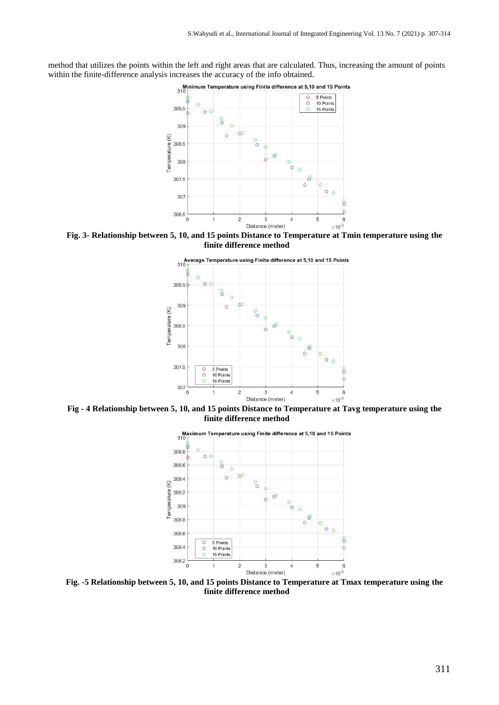method that utilizes the points within the left and right areas that are calculated. Thus, increasing the amount of points within the finite-difference analysis increases the accuracy of the info obtained.<br>
Minimum Temperature using Finite difference at 5,10 and 15 Points



**Fig. 3- Relationship between 5, 10, and 15 points Distance to Temperature at Tmin temperature using the finite difference method**



**Fig - 4 Relationship between 5, 10, and 15 points Distance to Temperature at Tavg temperature using the finite difference method**



**Fig. -5 Relationship between 5, 10, and 15 points Distance to Temperature at Tmax temperature using the finite difference method**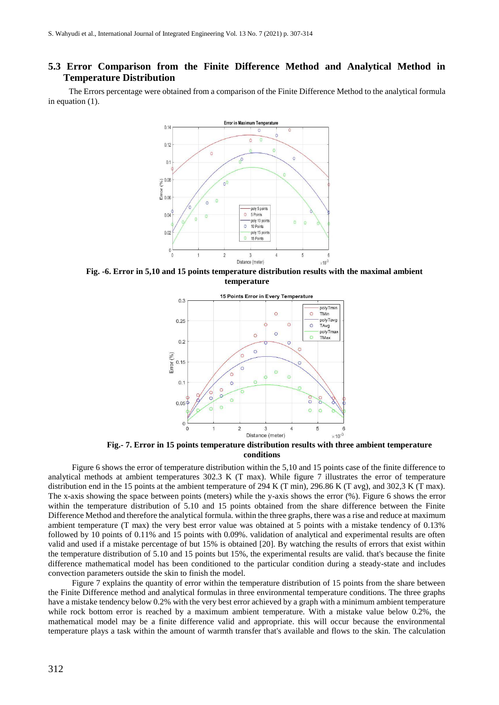# **5.3 Error Comparison from the Finite Difference Method and Analytical Method in Temperature Distribution**

 The Errors percentage were obtained from a comparison of the Finite Difference Method to the analytical formula in equation (1).



**Fig. -6. Error in 5,10 and 15 points temperature distribution results with the maximal ambient temperature**



**Fig.- 7. Error in 15 points temperature distribution results with three ambient temperature conditions**

Figure 6 shows the error of temperature distribution within the 5,10 and 15 points case of the finite difference to analytical methods at ambient temperatures 302.3 K (T max). While figure 7 illustrates the error of temperature distribution end in the 15 points at the ambient temperature of 294 K (T min), 296.86 K (T avg), and 302,3 K (T max). The x-axis showing the space between points (meters) while the y-axis shows the error (%). Figure 6 shows the error within the temperature distribution of 5.10 and 15 points obtained from the share difference between the Finite Difference Method and therefore the analytical formula. within the three graphs, there was a rise and reduce at maximum ambient temperature (T max) the very best error value was obtained at 5 points with a mistake tendency of 0.13% followed by 10 points of 0.11% and 15 points with 0.09%. validation of analytical and experimental results are often valid and used if a mistake percentage of but 15% is obtained [20]. By watching the results of errors that exist within the temperature distribution of 5.10 and 15 points but 15%, the experimental results are valid. that's because the finite difference mathematical model has been conditioned to the particular condition during a steady-state and includes convection parameters outside the skin to finish the model.

Figure 7 explains the quantity of error within the temperature distribution of 15 points from the share between the Finite Difference method and analytical formulas in three environmental temperature conditions. The three graphs have a mistake tendency below 0.2% with the very best error achieved by a graph with a minimum ambient temperature while rock bottom error is reached by a maximum ambient temperature. With a mistake value below 0.2%, the mathematical model may be a finite difference valid and appropriate. this will occur because the environmental temperature plays a task within the amount of warmth transfer that's available and flows to the skin. The calculation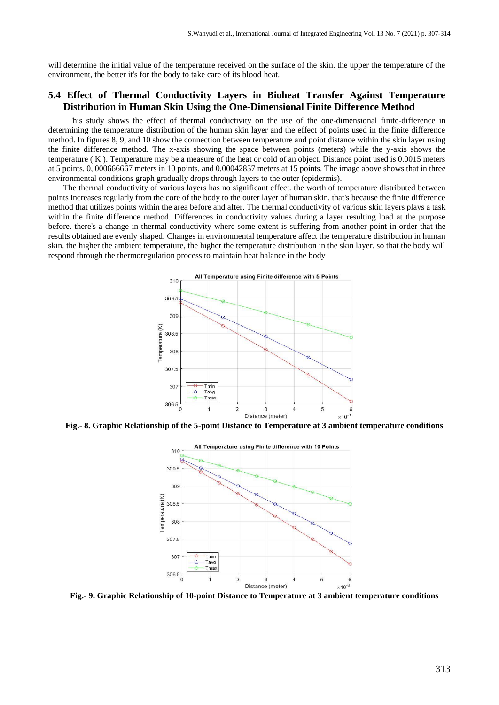will determine the initial value of the temperature received on the surface of the skin. the upper the temperature of the environment, the better it's for the body to take care of its blood heat.

# **5.4 Effect of Thermal Conductivity Layers in Bioheat Transfer Against Temperature Distribution in Human Skin Using the One-Dimensional Finite Difference Method**

 This study shows the effect of thermal conductivity on the use of the one-dimensional finite-difference in determining the temperature distribution of the human skin layer and the effect of points used in the finite difference method. In figures 8, 9, and 10 show the connection between temperature and point distance within the skin layer using the finite difference method. The x-axis showing the space between points (meters) while the y-axis shows the temperature ( K ). Temperature may be a measure of the heat or cold of an object. Distance point used is 0.0015 meters at 5 points, 0, 000666667 meters in 10 points, and 0,00042857 meters at 15 points. The image above shows that in three environmental conditions graph gradually drops through layers to the outer (epidermis).

The thermal conductivity of various layers has no significant effect. the worth of temperature distributed between points increases regularly from the core of the body to the outer layer of human skin. that's because the finite difference method that utilizes points within the area before and after. The thermal conductivity of various skin layers plays a task within the finite difference method. Differences in conductivity values during a layer resulting load at the purpose before. there's a change in thermal conductivity where some extent is suffering from another point in order that the results obtained are evenly shaped. Changes in environmental temperature affect the temperature distribution in human skin. the higher the ambient temperature, the higher the temperature distribution in the skin layer. so that the body will respond through the thermoregulation process to maintain heat balance in the body



**Fig.- 8. Graphic Relationship of the 5-point Distance to Temperature at 3 ambient temperature conditions**



**Fig.- 9. Graphic Relationship of 10-point Distance to Temperature at 3 ambient temperature conditions**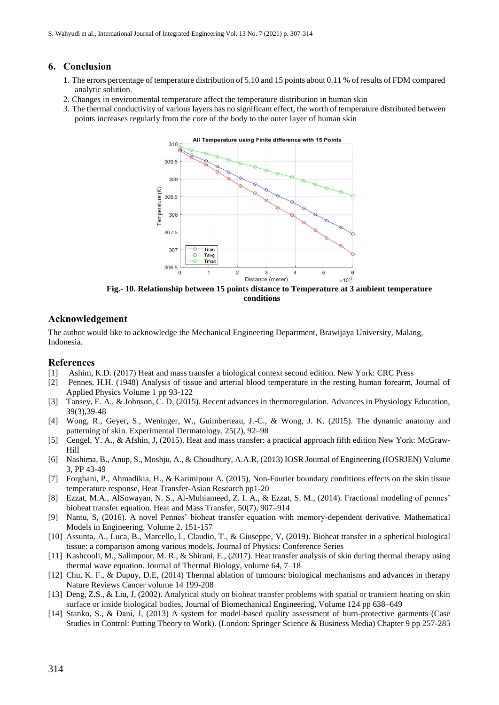# **6. Conclusion**

- 1. The errors percentage of temperature distribution of 5.10 and 15 points about 0.11 % of results of FDM compared analytic solution.
- 2. Changes in environmental temperature affect the temperature distribution in human skin
- 3. The thermal conductivity of various layers has no significant effect, the worth of temperature distributed between points increases regularly from the core of the body to the outer layer of human skin



**Fig.- 10. Relationship between 15 points distance to Temperature at 3 ambient temperature conditions**

# **Acknowledgement**

The author would like to acknowledge the Mechanical Engineering Department, Brawijaya University, Malang, Indonesia.

## **References**

- [1] Ashim, K.D. (2017) Heat and mass transfer a biological context second edition. New York: CRC Press
- [2] Pennes, H.H. (1948) Analysis of tissue and arterial blood temperature in the resting human forearm, Journal of Applied Physics Volume 1 pp 93-122
- [3] Tansey, E. A., & Johnson, C. D, (2015). Recent advances in thermoregulation. Advances in Physiology Education, 39(3),39-48
- [4] Wong, R., Geyer, S., Weninger, W., Guimberteau, J.-C., & Wong, J. K. (2015). The dynamic anatomy and patterning of skin. Experimental Dermatology, 25(2), 92–98
- [5] Cengel, Y. A., & Afshin, J, (2015). Heat and mass transfer: a practical approach fifth edition New York: McGraw-Hill
- [6] Nashima, B., Anup, S., Moshju, A., & Choudhury, A.A.R, (2013) IOSR Journal of Engineering (IOSRJEN) Volume 3, PP 43-49
- [7] Forghani, P., Ahmadikia, H., & Karimipour A. (2015), Non-Fourier boundary conditions effects on the skin tissue temperature response, Heat Transfer-Asian Research pp1-20
- [8] Ezzat, M.A., AlSowayan, N. S., Al-Muhiameed, Z. I. A., & Ezzat, S. M., (2014). Fractional modeling of pennes' bioheat transfer equation. Heat and Mass Transfer, 50(7), 907–914
- [9] Nantu, S, (2016). A novel Pennes' bioheat transfer equation with memory-dependent derivative. Mathematical Models in Engineering. Volume 2. 151-157
- [10] Assunta, A., Luca, B., Marcello, l., Claudio, T., & Giuseppe, V, (2019). Bioheat transfer in a spherical biological tissue: a comparison among various models. Journal of Physics: Conference Series
- [11] Kashcooli, M., Salimpour, M. R., & Shirani, E., (2017). Heat transfer analysis of skin during thermal therapy using thermal wave equation. Journal of Thermal Biology, volume 64, 7–18
- [12] Chu, K. F., & Dupuy, D.E, (2014) Thermal ablation of tumours: biological mechanisms and advances in therapy Nature Reviews Cancer volume 14 199-208
- [13] Deng, Z.S., & Liu, J, (2002). Analytical study on bioheat transfer problems with spatial or transient heating on skin surface or inside biological bodies, Journal of Biomechanical Engineering, Volume 124 pp 638–649
- [14] Stanko, S., & Đani, J, (2013) A system for model-based quality assessment of burn-protective garments (Case Studies in Control: Putting Theory to Work). (London: Springer Science & Business Media) Chapter 9 pp 257-285